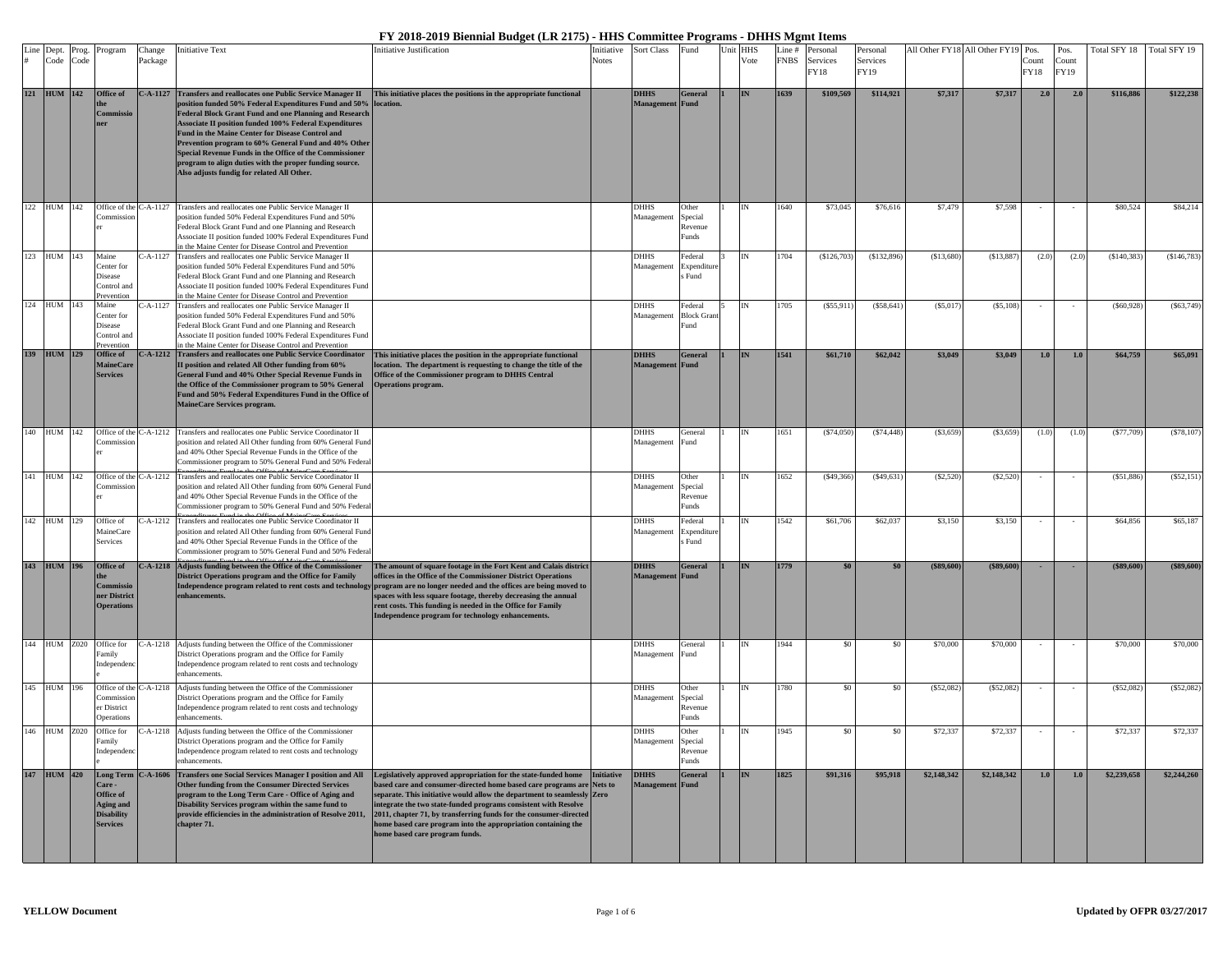| Line | Dept.<br>Code   | Prog.<br>Code | Program                                                                                | Change<br>Package | nitiative Text                                                                                                                                                                                                                                                                                                                                                                                                                                                                                                                                      | nitiative Justification                                                                                                                                                                                                                                                                                                                                                                                                                                                                                                             | Initiative<br><b>Notes</b> | <b>Sort Class</b>                     | Fund                                 | Unit | <b>HHS</b><br>Vote | Line #<br><b>FNBS</b> | Personal<br>Services<br>FY18 | Personal<br>Services<br>FY19 |             | All Other FY18 All Other FY19 Pos. | Count<br>FY18 | Pos.<br>Count<br><b>FY19</b> | Total SFY 18 | Total SFY 19 |
|------|-----------------|---------------|----------------------------------------------------------------------------------------|-------------------|-----------------------------------------------------------------------------------------------------------------------------------------------------------------------------------------------------------------------------------------------------------------------------------------------------------------------------------------------------------------------------------------------------------------------------------------------------------------------------------------------------------------------------------------------------|-------------------------------------------------------------------------------------------------------------------------------------------------------------------------------------------------------------------------------------------------------------------------------------------------------------------------------------------------------------------------------------------------------------------------------------------------------------------------------------------------------------------------------------|----------------------------|---------------------------------------|--------------------------------------|------|--------------------|-----------------------|------------------------------|------------------------------|-------------|------------------------------------|---------------|------------------------------|--------------|--------------|
|      | 121 HUM 142     |               | Office of<br>Commissi<br>ner                                                           | C-A-1127          | <b>Transfers and reallocates one Public Service Manager II</b><br>position funded 50% Federal Expenditures Fund and 50% location.<br><b>Federal Block Grant Fund and one Planning and Research</b><br><b>Associate II position funded 100% Federal Expenditures</b><br>Fund in the Maine Center for Disease Control and<br>Prevention program to 60% General Fund and 40% Other<br>Special Revenue Funds in the Office of the Commissioner<br>program to align duties with the proper funding source.<br>Also adjusts fundig for related All Other. | This initiative places the positions in the appropriate functional                                                                                                                                                                                                                                                                                                                                                                                                                                                                  |                            | <b>DHHS</b><br><b>Management</b> Fund | <b>General</b>                       |      | IN                 | 1639                  | \$109,569                    | \$114,921                    | \$7,317     | \$7,317                            | 2.0           | 2.0                          | \$116,886    | \$122,238    |
| 122  | <b>HUM</b>      | 142           | Office of the C-A-1127<br>ommissi                                                      |                   | Transfers and reallocates one Public Service Manager II<br>oosition funded 50% Federal Expenditures Fund and 50%<br>Federal Block Grant Fund and one Planning and Research<br>Associate II position funded 100% Federal Expenditures Fund<br>the Maine Center for Disease Control and Prevention                                                                                                                                                                                                                                                    |                                                                                                                                                                                                                                                                                                                                                                                                                                                                                                                                     |                            | <b>DHHS</b><br>Management             | Other<br>Special<br>≷evenue<br>Funds |      |                    | 640                   | \$73,045                     | \$76,616                     | \$7,479     | \$7,598                            |               |                              | \$80,524     | \$84,214     |
|      | 123 HUM 143     |               | Maine<br>Center for<br>Disease<br>Control and<br>Prevention                            | $- A - 1127$      | Transfers and reallocates one Public Service Manager II<br>position funded 50% Federal Expenditures Fund and 50%<br>Federal Block Grant Fund and one Planning and Research<br>Associate II position funded 100% Federal Expenditures Fund<br>n the Maine Center for Disease Control and Prevention                                                                                                                                                                                                                                                  |                                                                                                                                                                                                                                                                                                                                                                                                                                                                                                                                     |                            | <b>DHHS</b><br>Management             | Federal<br>Expenditure<br>Fund       |      |                    | 704                   | (\$126,703                   | (S132, 896)                  | (S13, 680)  | (S13, 887)                         | (2.0)         | (2.0)                        | (S140, 383)  | (\$146,783)  |
|      | 124 HUM 143     |               | Maine<br>Center for<br>Disease<br>Control and<br><b>revention</b>                      | $- A - 1127$      | Transfers and reallocates one Public Service Manager II<br>position funded 50% Federal Expenditures Fund and 50%<br>Federal Block Grant Fund and one Planning and Research<br>Associate II position funded 100% Federal Expenditures Fund<br>n the Maine Center for Disease Control and Prevention                                                                                                                                                                                                                                                  |                                                                                                                                                                                                                                                                                                                                                                                                                                                                                                                                     |                            | <b>DHHS</b><br>Management             | Federal<br><b>Block Gran</b><br>Fund |      |                    | 1705                  | (S55, 91)                    | (S58, 64)                    | (S5,01)     | (S5, 108)                          |               |                              | (S60, 928)   | (S63, 749)   |
|      | 139 HUM 129     |               | <b>Office of</b><br><b>MaineCar</b><br><b>Services</b>                                 |                   | C-A-1212 Transfers and reallocates one Public Service Coordinator<br>II position and related All Other funding from 60%<br>General Fund and 40% Other Special Revenue Funds in<br>the Office of the Commissioner program to 50% General<br>Fund and 50% Federal Expenditures Fund in the Office of<br>MaineCare Services program.                                                                                                                                                                                                                   | This initiative places the position in the appropriate functional<br>location. The department is requesting to change the title of the<br>Office of the Commissioner program to DHHS Central<br><b>Operations program.</b>                                                                                                                                                                                                                                                                                                          |                            | <b>DHHS</b><br>Management             | <b>General</b><br>Fund               |      |                    | 1541                  | \$61,710                     | \$62,042                     | \$3,049     | \$3,049                            | 1.0           | 1.0                          | \$64,759     | \$65,091     |
| 140  | HUM             | 142           | Office of the<br><b>Commissio</b>                                                      | $C-A-1212$        | Transfers and reallocates one Public Service Coordinator II<br>oosition and related All Other funding from 60% General Fund<br>and 40% Other Special Revenue Funds in the Office of the<br>Commissioner program to 50% General Fund and 50% Federa                                                                                                                                                                                                                                                                                                  |                                                                                                                                                                                                                                                                                                                                                                                                                                                                                                                                     |                            | <b>DHHS</b><br>Management             | General<br>Fund                      |      |                    | 1651                  | (S74,050)                    | (S74, 448)                   | (S3, 659)   | (S3, 659)                          | (1.0)         | (1.0)                        | (S77,709)    | (S78, 107)   |
| 141  | HUM 142         |               | Office of the C-A-1212<br>Commissio                                                    |                   | Transfers and reallocates one Public Service Coordinator II<br>position and related All Other funding from 60% General Fund<br>and 40% Other Special Revenue Funds in the Office of the<br>Commissioner program to 50% General Fund and 50% Federa                                                                                                                                                                                                                                                                                                  |                                                                                                                                                                                                                                                                                                                                                                                                                                                                                                                                     |                            | <b>DHHS</b><br>Management             | Other<br>Special<br>Revenue<br>Funds |      | IN                 | 1652                  | (\$49,366                    | (S49, 631)                   | (S2,520)    | (S2, 520)                          |               |                              | (S51, 886)   | (S52, 151)   |
|      | 142 HUM 129     |               | Office of<br>MaineCare<br>Services                                                     |                   | C-A-1212 Transfers and reallocates one Public Service Coordinator II<br>position and related All Other funding from 60% General Fund<br>and 40% Other Special Revenue Funds in the Office of the<br>Commissioner program to 50% General Fund and 50% Federal                                                                                                                                                                                                                                                                                        |                                                                                                                                                                                                                                                                                                                                                                                                                                                                                                                                     |                            | <b>DHHS</b><br>Management             | Federal<br>Expenditure<br>Fund       |      | IN                 | 1542                  | \$61,706                     | \$62,037                     | \$3,150     | \$3,150                            |               |                              | \$64,856     | \$65,187     |
|      | 143 HUM 196     |               | Office of<br>Commissio<br>ner District<br><b>Operations</b>                            | $C-A-1218$        | Adjusts funding between the Office of the Commissioner<br>District Operations program and the Office for Family<br>enhancements.                                                                                                                                                                                                                                                                                                                                                                                                                    | The amount of square footage in the Fort Kent and Calais district<br>offices in the Office of the Commissioner District Operations<br>Independence program related to rent costs and technology program are no longer needed and the offices are being moved to<br>spaces with less square footage, thereby decreasing the annual<br>rent costs. This funding is needed in the Office for Family<br>Independence program for technology enhancements.                                                                               |                            | <b>DHHS</b><br>Management Fund        | <b>General</b>                       |      |                    | 1779                  | \$0                          | \$0                          | (\$89,600]  | (\$89,600]                         |               |                              | (\$89,600)   | (\$89,600]   |
| 144  | <b>HUM Z020</b> |               | Office for<br>Family<br>Independen                                                     | $C-A-1218$        | Adjusts funding between the Office of the Commissioner<br>District Operations program and the Office for Family<br>Independence program related to rent costs and technology<br>enhancements.                                                                                                                                                                                                                                                                                                                                                       |                                                                                                                                                                                                                                                                                                                                                                                                                                                                                                                                     |                            | <b>DHHS</b><br>Management Fund        | General                              |      | IN                 | 944                   | \$0                          | \$0                          | \$70,000    | \$70,000                           |               |                              | \$70,000     | \$70,000     |
|      | 145 HUM 196     |               | Office of the<br>Commissio<br>er District<br>Operations                                | $C-A-1218$        | Adjusts funding between the Office of the Commissioner<br>District Operations program and the Office for Family<br>Independence program related to rent costs and technology<br>enhancements.                                                                                                                                                                                                                                                                                                                                                       |                                                                                                                                                                                                                                                                                                                                                                                                                                                                                                                                     |                            | <b>DHHS</b><br>Management             | Other<br>Special<br>Revenue<br>Funds |      | IN                 | 1780                  | \$0                          | \$0                          | (\$52,082   | $($ \$52,082)                      |               |                              | (S52,082)    | (\$52,082)   |
|      | 146 HUM Z020    |               | Office for<br>amılv<br>Independenc                                                     | $C-A-1218$        | Adjusts funding between the Office of the Commissioner<br>District Operations program and the Office for Family<br>Independence program related to rent costs and technology<br>enhancements.                                                                                                                                                                                                                                                                                                                                                       |                                                                                                                                                                                                                                                                                                                                                                                                                                                                                                                                     |                            | <b>DHHS</b><br>Vlanagement            | Other<br>Special<br>Revenue<br>Funds |      | IN                 | 1945                  | \$0                          | \$0                          | \$72,337    | \$72,337                           | $\sim$        | $\sim$                       | \$72,337     | \$72,337     |
|      | 147 HUM 420     |               | <b>Care -</b><br>Office of<br><b>Aging and</b><br><b>Disability</b><br><b>Services</b> |                   | Long Term   C-A-1606   Transfers one Social Services Manager I position and All<br>Other funding from the Consumer Directed Services<br>program to the Long Term Care - Office of Aging and<br>Disability Services program within the same fund to<br>chapter 71.                                                                                                                                                                                                                                                                                   | Legislatively approved appropriation for the state-funded home Initiative<br>based care and consumer-directed home based care programs are Nets to<br>separate. This initiative would allow the department to seamlessly Zero<br>integrate the two state-funded programs consistent with Resolve<br>provide efficiencies in the administration of Resolve 2011, 2011, chapter 71, by transferring funds for the consumer-directed<br>ome based care program into the appropriation containing the<br>nome based care program funds. |                            | <b>DHHS</b><br><b>Management</b> Fund | General                              |      | IN                 | 1825                  | \$91,316                     | \$95,918                     | \$2,148,342 | \$2,148,342                        | 1.0           | 1.0                          | \$2,239,658  | \$2,244,260  |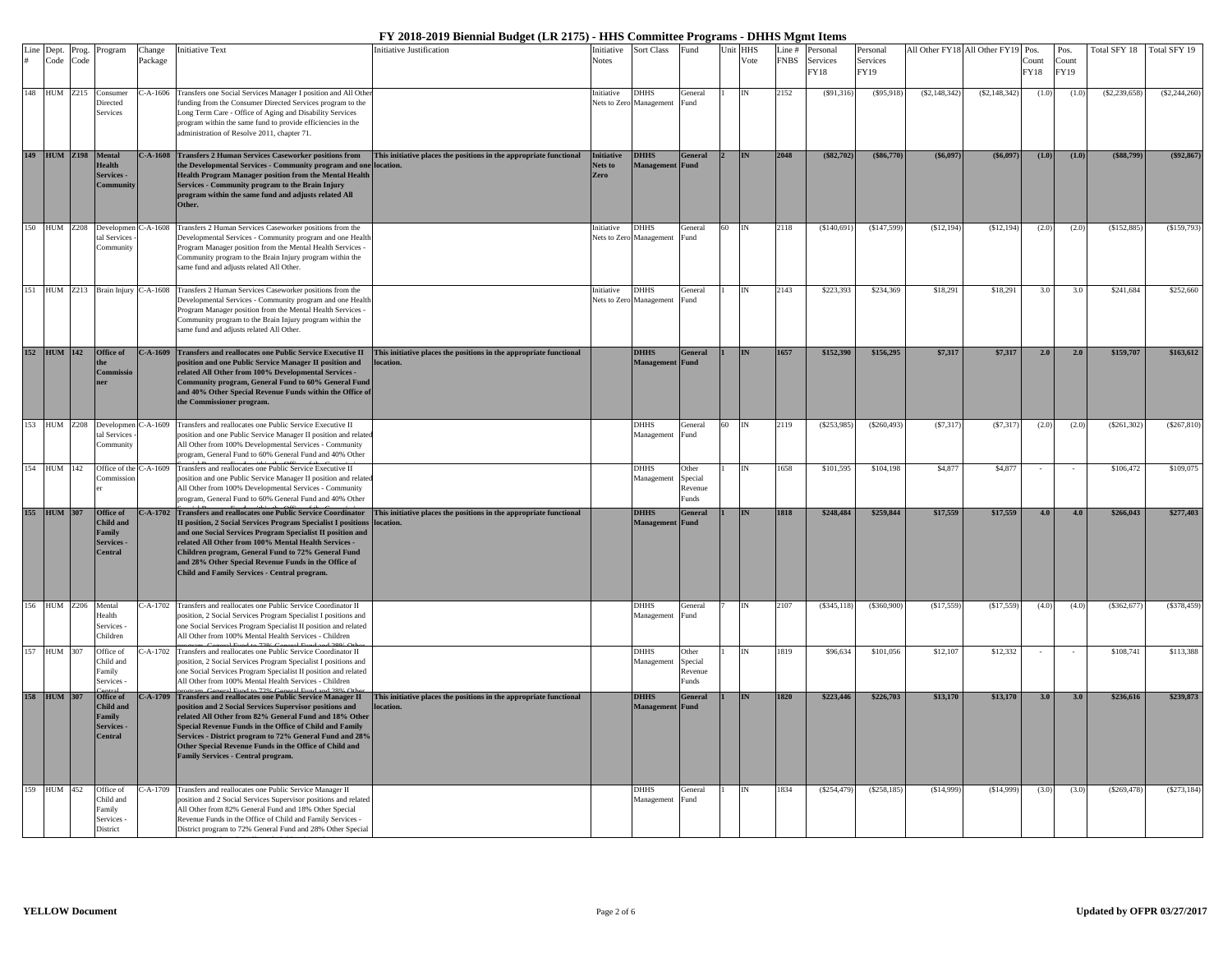| Line | Dept.<br>Code       | Prog.<br>Code | Program                                                                      | Change<br>Package | <b>Initiative Text</b>                                                                                                                                                                                                                                                                                                                                                                                               | Initiative Justification                                                                                                                          | Initiative<br><b>Notes</b>           | Sort Class                             | Fund                                       |    | Unit HHS<br>Vote | Line #<br><b>FNBS</b> | Personal<br>Services | Personal<br>Services |                | All Other FY18 All Other FY19 | Pos.<br>Count | Pos.<br>Count | Total SFY 18    | Total SFY 19   |
|------|---------------------|---------------|------------------------------------------------------------------------------|-------------------|----------------------------------------------------------------------------------------------------------------------------------------------------------------------------------------------------------------------------------------------------------------------------------------------------------------------------------------------------------------------------------------------------------------------|---------------------------------------------------------------------------------------------------------------------------------------------------|--------------------------------------|----------------------------------------|--------------------------------------------|----|------------------|-----------------------|----------------------|----------------------|----------------|-------------------------------|---------------|---------------|-----------------|----------------|
|      |                     |               |                                                                              |                   |                                                                                                                                                                                                                                                                                                                                                                                                                      |                                                                                                                                                   |                                      |                                        |                                            |    |                  |                       | FY18                 | <b>FY19</b>          |                |                               | FY18          | <b>FY19</b>   |                 |                |
|      | 148 HUM Z215        |               | Consume:<br>Directed<br>Services                                             | $C-A-1606$        | Transfers one Social Services Manager I position and All Othe<br>unding from the Consumer Directed Services program to the<br>Long Term Care - Office of Aging and Disability Services<br>program within the same fund to provide efficiencies in the<br>administration of Resolve 2011, chapter 71.                                                                                                                 |                                                                                                                                                   | Initiative                           | <b>DHHS</b><br>Nets to Zero Management | General<br>Fund                            |    |                  | 2152                  | (S91,316)            | $($ \$95,918)        | (S2, 148, 342) | (S2, 148, 342)                | (1.0)         | (1.0)         | $(\$2,239,658)$ | (S2, 244, 260) |
|      |                     |               | 149 HUM Z198 Mental<br>Health<br>Services -<br>Communit                      |                   | the Developmental Services - Community program and one location.<br>Health Program Manager position from the Mental Health<br>Services - Community program to the Brain Injury<br>program within the same fund and adjusts related All<br>Other.                                                                                                                                                                     | C-A-1608 Transfers 2 Human Services Caseworker positions from This initiative places the positions in the appropriate functional                  | <b>Initiative</b><br>Nets to<br>Zero | <b>DHHS</b><br>Management              | <b>General</b><br><b>Fund</b>              |    | <b>IN</b>        | 2048                  | (S82,702)            | (S86,770)            | (S6.097)       | (S6.097)                      | (1.0)         | (1.0)         | (\$88,799)      | (\$92,867)     |
|      |                     |               | 150 HUM Z208 Developmen C-A-1608<br>tal Services<br>Community                |                   | Transfers 2 Human Services Caseworker positions from the<br>Developmental Services - Community program and one Health<br>Program Manager position from the Mental Health Services -<br>'ommunity program to the Brain Injury program within the<br>ame fund and adjusts related All Other.                                                                                                                           |                                                                                                                                                   | Initiative                           | DHHS<br>Nets to Zero Management        | General<br>Fund                            | 60 | IN               | 2118                  | (\$140,691)          | (\$147,599)          | (S12, 194)     | (\$12,194)                    | (2.0)         | (2.0)         | (\$152,885      | \$159,793      |
|      |                     |               | 151 HUM Z213 Brain Injury C-A-1608                                           |                   | Transfers 2 Human Services Caseworker positions from the<br>Developmental Services - Community program and one Health<br>Program Manager position from the Mental Health Services -<br>Community program to the Brain Injury program within the<br>same fund and adjusts related All Other.                                                                                                                          |                                                                                                                                                   | Initiative<br>Nets to Zero           | <b>DHHS</b><br>Management              | General<br>Fund.                           |    | IN               | 2143                  | \$223,393            | \$234,369            | \$18,291       | \$18,291                      | 3.0           | 3.0           | \$241,684       | \$252,660      |
|      |                     |               | 152 HUM 142 Office of<br>Commissi                                            |                   | position and one Public Service Manager II position and<br>related All Other from 100% Developmental Services -<br>Community program, General Fund to 60% General Fund<br>and 40% Other Special Revenue Funds within the Office of<br>the Commissioner program.                                                                                                                                                      | C-A-1609 Transfers and reallocates one Public Service Executive II This initiative places the positions in the appropriate functional<br>location |                                      | <b>DHHS</b><br>Management              | <b>General</b><br>Fund                     |    | <b>IN</b>        | 1657                  | \$152,390            | \$156,295            | \$7,317        | \$7,317                       | 2.0           | 2.0           | \$159,707       | \$163,612      |
|      |                     |               | HUM Z208 Developmer<br>tal Services<br>Community                             |                   | C-A-1609 Transfers and reallocates one Public Service Executive II<br>position and one Public Service Manager II position and relate<br>All Other from 100% Developmental Services - Community<br>program, General Fund to 60% General Fund and 40% Other                                                                                                                                                            |                                                                                                                                                   |                                      | <b>DHHS</b><br>Management              | <b>Teneral</b><br>Fund                     |    |                  | 2119                  | (\$253,985)          | (S260, 493)          | (S7, 317)      | (S7.317)                      | (2.0)         | (2.0)         | (\$261,302]     | (\$267,810)    |
|      | 154 HUM 142         |               | 'ommissi                                                                     |                   | Office of the C-A-1609 Transfers and reallocates one Public Service Executive II<br>position and one Public Service Manager II position and related<br>All Other from 100% Developmental Services - Community<br>program, General Fund to 60% General Fund and 40% Other                                                                                                                                             |                                                                                                                                                   |                                      | DHHS<br>Management                     | Other<br>Snecial<br>Revenue<br>unds        |    |                  | 1658                  | \$101,595            | \$104,198            | \$4,877        | \$4.877                       |               |               | \$106.472       | \$109,075      |
|      | 155 HUM 307         |               | Office of<br><b>Child and</b><br>Family<br><b>Services</b><br><b>Central</b> | $-.A-1702$        | <b>Transfers and reallocates one Public Service Coordinator</b><br>II position, 2 Social Services Program Specialist I positions<br>and one Social Services Program Specialist II position and<br>related All Other from 100% Mental Health Services -<br>Children program, General Fund to 72% General Fund<br>and 28% Other Special Revenue Funds in the Office of<br>Child and Family Services - Central program. | This initiative places the positions in the appropriate functional<br>location.                                                                   |                                      | <b>DHHS</b><br>Management              | <b>General</b><br><b>Fund</b>              |    | <b>IN</b>        | 1818                  | \$248,484            | \$259,844            | \$17,559       | \$17,559                      | 4.0           | 4.0           | \$266,043       | \$277,403      |
|      | 156 HUM Z206 Mental |               | Health<br>Services -<br>Children                                             |                   | C-A-1702 Transfers and reallocates one Public Service Coordinator II<br>position, 2 Social Services Program Specialist I positions and<br>one Social Services Program Specialist II position and related<br>All Other from 100% Mental Health Services - Children                                                                                                                                                    |                                                                                                                                                   |                                      | <b>DHHS</b><br>Management              | General<br>Fund                            |    |                  | 2107                  | (S345, 118)          | ( \$360, 900)        | (S17, 559)     | (S17, 559)                    | (4.0)         | (4.0)         | (\$362,677      | (S378, 459)    |
|      | 157 HUM 307         |               | Office of<br>Child and<br>Family<br>Services -                               | $- A - 1702$      | Transfers and reallocates one Public Service Coordinator II<br>position, 2 Social Services Program Specialist I positions and<br>one Social Services Program Specialist II position and related<br>All Other from 100% Mental Health Services - Children                                                                                                                                                             |                                                                                                                                                   |                                      | DHHS<br>Management                     | Other<br>Special<br>Revenue<br><b>unds</b> |    |                  | 1819                  | \$96,634             | \$101,056            | \$12,107       | \$12,332                      |               |               | \$108,741       | \$113,388      |
|      | 158 HUM 307         |               | Office of<br><b>Child and</b><br>Family<br>Services -<br>Central             | $-.A-1709$        | Transfers and reallocates one Public Service Manager II<br>oosition and 2 Social Services Supervisor positions and<br>related All Other from 82% General Fund and 18% Other<br>Special Revenue Funds in the Office of Child and Family<br>Services - District program to 72% General Fund and 28%<br>Other Special Revenue Funds in the Office of Child and<br>Family Services - Central program.                    | This initiative places the positions in the appropriate functional<br>ocation                                                                     |                                      | <b>DHHS</b><br>Management              | <b>General</b><br>Fund                     |    |                  | 1820                  | \$223,446            | \$226,703            | \$13,170       | \$13,170                      | 3.0           | 3.0           | \$236,616       | \$239,873      |
| 159  | HUM 452             |               | Office of<br>Child and<br>Family<br>Services -<br>District                   | $- A - 1709$      | Transfers and reallocates one Public Service Manager II<br>position and 2 Social Services Supervisor positions and related<br>All Other from 82% General Fund and 18% Other Special<br>Revenue Funds in the Office of Child and Family Services -<br>District program to 72% General Fund and 28% Other Special                                                                                                      |                                                                                                                                                   |                                      | DHHS<br>Management                     | General<br>Fund                            |    |                  | 1834                  | (S254, 479)          | (S258, 185)          | (\$14,999      | (S14,999)                     | (3.0)         | (3.0)         | (S269, 478)     | (S273, 184)    |

R F d'Albany de l'Albany de l'Albany de l'Albany de l'Albany de l'Albany de l'Albany de l'Albany de l'Albany d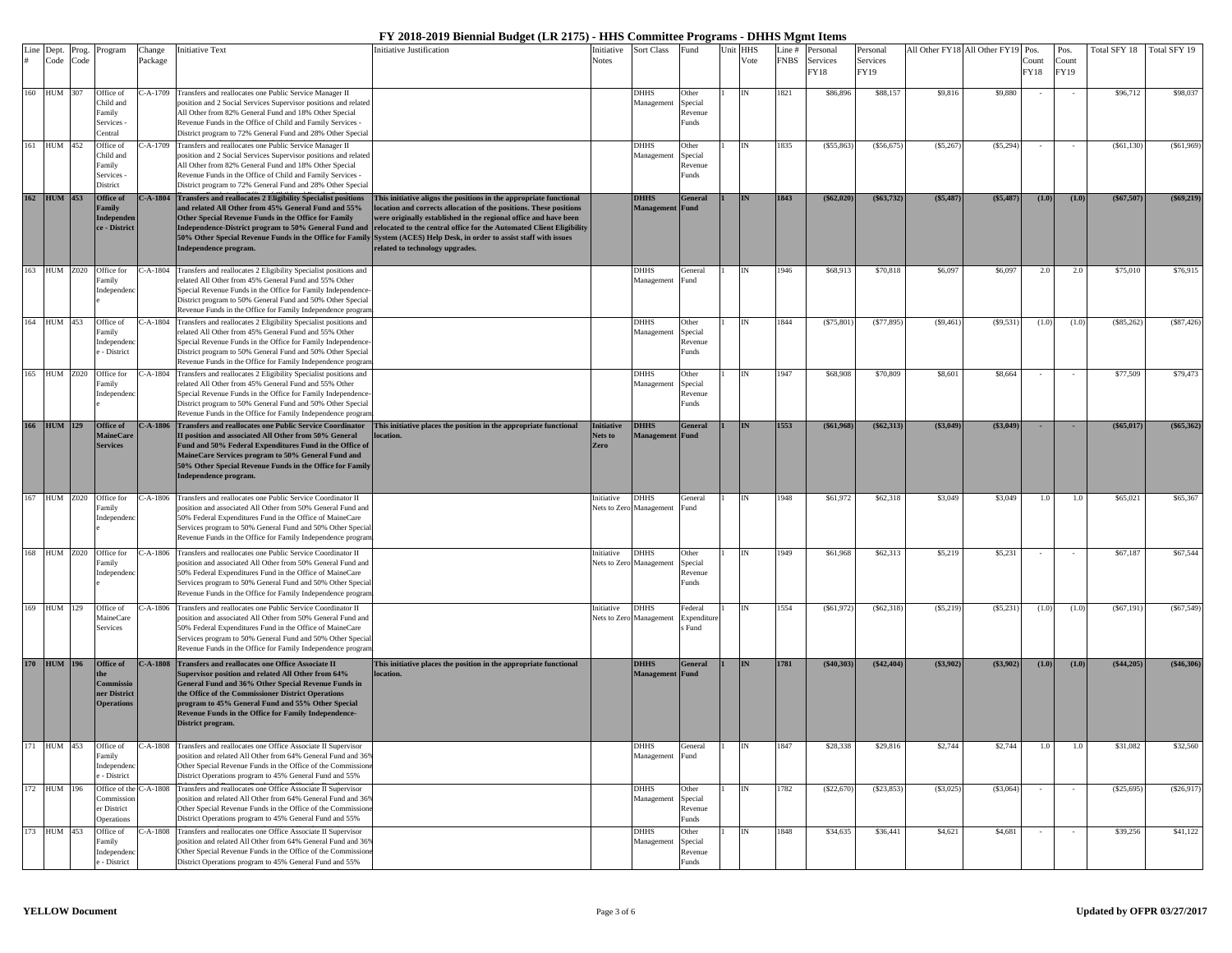|     | Line Dept.<br>Code | Prog.<br>Code | Program                            | Change<br>Package | <b>Initiative Text</b>                                                                                                                | <b>Initiative Justification</b>                                                                                                                                                                | Initiative<br><b>Notes</b> | <b>Sort Class</b>                      | Fund                   | Unit | HHS<br>Vote | Line #<br><b>FNBS</b> | Personal<br>Services | Personal<br>Services |           | All Other FY18 All Other FY19 | Pos.<br>Count | Pos.<br>Count | Fotal SFY 18 | Total SFY 19 |
|-----|--------------------|---------------|------------------------------------|-------------------|---------------------------------------------------------------------------------------------------------------------------------------|------------------------------------------------------------------------------------------------------------------------------------------------------------------------------------------------|----------------------------|----------------------------------------|------------------------|------|-------------|-----------------------|----------------------|----------------------|-----------|-------------------------------|---------------|---------------|--------------|--------------|
|     |                    |               |                                    |                   |                                                                                                                                       |                                                                                                                                                                                                |                            |                                        |                        |      |             |                       | FY18                 | FY19                 |           |                               | FY18          | FY19          |              |              |
|     | 160 HUM 307        |               | Office of                          | $- A - 1709$      | Transfers and reallocates one Public Service Manager II                                                                               |                                                                                                                                                                                                |                            | <b>DHHS</b>                            | Other                  |      |             | 1821                  | \$86,896             | \$88,157             | \$9,816   | \$9,880                       | $\sim$        |               | \$96,712     | \$98,037     |
|     |                    |               | Child and<br>Family                |                   | position and 2 Social Services Supervisor positions and related<br>All Other from 82% General Fund and 18% Other Special              |                                                                                                                                                                                                |                            | Management                             | Special<br>Revenue     |      |             |                       |                      |                      |           |                               |               |               |              |              |
|     |                    |               | Services                           |                   | Revenue Funds in the Office of Child and Family Services -                                                                            |                                                                                                                                                                                                |                            |                                        | Funds                  |      |             |                       |                      |                      |           |                               |               |               |              |              |
| 161 | HUM 452            |               | Central<br>Office of               | -A-1709           | District program to 72% General Fund and 28% Other Special<br>Transfers and reallocates one Public Service Manager II                 |                                                                                                                                                                                                |                            | <b>DHHS</b>                            | Other                  |      |             | 1835                  | (S55, 863)           | ( \$56,675]          | (\$5,26"  | (S5, 294)                     |               |               | (S61, 130)   | (S61, 969)   |
|     |                    |               | Child and                          |                   | position and 2 Social Services Supervisor positions and related                                                                       |                                                                                                                                                                                                |                            | Management                             | Special                |      |             |                       |                      |                      |           |                               |               |               |              |              |
|     |                    |               | Family<br>Services                 |                   | All Other from 82% General Fund and 18% Other Special<br>Revenue Funds in the Office of Child and Family Services -                   |                                                                                                                                                                                                |                            |                                        | Revenue<br>Funds       |      |             |                       |                      |                      |           |                               |               |               |              |              |
|     |                    |               | District                           |                   | District program to 72% General Fund and 28% Other Special                                                                            |                                                                                                                                                                                                |                            |                                        |                        |      |             |                       |                      |                      |           |                               |               |               |              |              |
| 162 | <b>HUM</b> 453     |               | Office of<br>Family                |                   | C-A-1804 Transfers and reallocates 2 Eligibility Specialist positions<br>and related All Other from 45% General Fund and 55%          | This initiative aligns the positions in the appropriate functional<br>ocation and corrects allocation of the positions. These positions                                                        |                            | <b>DHHS</b><br>Management              | <b>General</b><br>Fund |      | <b>IN</b>   | 1843                  | $(\$62,020)$         | $(\$63,732)$         | (\$5,487) | (\$5,487)                     | (1.0)         | (1.0)         | $(\$67,507)$ | (\$69,219)   |
|     |                    |               | Independer                         |                   | Other Special Revenue Funds in the Office for Family                                                                                  | were originally established in the regional office and have been                                                                                                                               |                            |                                        |                        |      |             |                       |                      |                      |           |                               |               |               |              |              |
|     |                    |               | ce - District                      |                   | Independence-District program to 50% General Fund and                                                                                 | relocated to the central office for the Automated Client Eligibility<br>50% Other Special Revenue Funds in the Office for Family System (ACES) Help Desk, in order to assist staff with issues |                            |                                        |                        |      |             |                       |                      |                      |           |                               |               |               |              |              |
|     |                    |               |                                    |                   | Independence program.                                                                                                                 | related to technology upgrades.                                                                                                                                                                |                            |                                        |                        |      |             |                       |                      |                      |           |                               |               |               |              |              |
| 163 | <b>HUM Z020</b>    |               | Office for                         | $C-A-1804$        | Transfers and reallocates 2 Eligibility Specialist positions and                                                                      |                                                                                                                                                                                                |                            | <b>DHHS</b>                            | General                |      |             | 1946                  | \$68,913             | \$70,818             | \$6,097   | \$6,097                       | 2.0           | 2.0           | \$75,010     | \$76,915     |
|     |                    |               | Family<br>Independer               |                   | related All Other from 45% General Fund and 55% Other<br>Special Revenue Funds in the Office for Family Independence                  |                                                                                                                                                                                                |                            | Management                             | Fund                   |      |             |                       |                      |                      |           |                               |               |               |              |              |
|     |                    |               |                                    |                   | District program to 50% General Fund and 50% Other Special                                                                            |                                                                                                                                                                                                |                            |                                        |                        |      |             |                       |                      |                      |           |                               |               |               |              |              |
|     | 164 HUM 453        |               | Office of                          | $C-A-1804$        | Revenue Funds in the Office for Family Independence program<br>Transfers and reallocates 2 Eligibility Specialist positions and       |                                                                                                                                                                                                |                            | DHHS                                   | Other                  |      |             | 1844                  | (S75, 801)           | (S77, 895)           | (S9, 46)  | (S9, 531)                     | (1.0)         | (1.0)         | (S85, 262)   | (S87, 426)   |
|     |                    |               | amily                              |                   | related All Other from 45% General Fund and 55% Other                                                                                 |                                                                                                                                                                                                |                            | Management                             | Special                |      |             |                       |                      |                      |           |                               |               |               |              |              |
|     |                    |               | Independer<br>- District           |                   | Special Revenue Funds in the Office for Family Independence<br>District program to 50% General Fund and 50% Other Special             |                                                                                                                                                                                                |                            |                                        | Revenue<br>Funds       |      |             |                       |                      |                      |           |                               |               |               |              |              |
|     |                    |               |                                    |                   | Revenue Funds in the Office for Family Independence prograr                                                                           |                                                                                                                                                                                                |                            |                                        |                        |      |             |                       |                      |                      |           |                               |               |               |              |              |
|     | 165 HUM Z020       |               | Office for<br>amily                | $2-A-1804$        | Transfers and reallocates 2 Eligibility Specialist positions and<br>related All Other from 45% General Fund and 55% Other             |                                                                                                                                                                                                |                            | <b>DHHS</b><br>Management              | Other<br>Special       |      |             | 1947                  | \$68,908             | \$70,809             | \$8,601   | \$8,664                       |               |               | \$77,509     | \$79,473     |
|     |                    |               | Independer                         |                   | Special Revenue Funds in the Office for Family Independence                                                                           |                                                                                                                                                                                                |                            |                                        | Revenue                |      |             |                       |                      |                      |           |                               |               |               |              |              |
|     |                    |               |                                    |                   | District program to 50% General Fund and 50% Other Special<br>Revenue Funds in the Office for Family Independence program             |                                                                                                                                                                                                |                            |                                        | Funds                  |      |             |                       |                      |                      |           |                               |               |               |              |              |
| 166 | <b>HUM</b> 129     |               | Office of                          | $- A - 1806$      | Transfers and reallocates one Public Service Coordinator                                                                              | This initiative places the position in the appropriate functional                                                                                                                              | <b>Initiative</b>          | <b>DHHS</b>                            | <b>General</b>         |      |             | 1553                  | (\$61,968)           | $(\$62.313)$         | (\$3,049) | (S3,049)                      | $\sim$        | $\sim$        | $(\$65,017)$ | (\$65,362)   |
|     |                    |               | <b>MaineCar</b><br><b>Services</b> |                   | II position and associated All Other from 50% General<br>Fund and 50% Federal Expenditures Fund in the Office of                      | ocation.                                                                                                                                                                                       | Nets to<br>Zero            | Management                             | Fund                   |      |             |                       |                      |                      |           |                               |               |               |              |              |
|     |                    |               |                                    |                   | MaineCare Services program to 50% General Fund and<br>50% Other Special Revenue Funds in the Office for Family                        |                                                                                                                                                                                                |                            |                                        |                        |      |             |                       |                      |                      |           |                               |               |               |              |              |
|     |                    |               |                                    |                   | Independence program.                                                                                                                 |                                                                                                                                                                                                |                            |                                        |                        |      |             |                       |                      |                      |           |                               |               |               |              |              |
| 167 | <b>HUM Z020</b>    |               | Office for                         | C-A-1806          | Transfers and reallocates one Public Service Coordinator II                                                                           |                                                                                                                                                                                                | nitiative                  | <b>DHHS</b>                            | General                |      |             | 1948                  | \$61,972             | \$62,318             | \$3,049   | \$3,049                       | 1.0           | 1.0           | \$65,021     | \$65,367     |
|     |                    |               | Family                             |                   | position and associated All Other from 50% General Fund and                                                                           |                                                                                                                                                                                                |                            | Nets to Zero Management                | Fund                   |      |             |                       |                      |                      |           |                               |               |               |              |              |
|     |                    |               | Independen                         |                   | 50% Federal Expenditures Fund in the Office of MaineCare<br>Services program to 50% General Fund and 50% Other Specia                 |                                                                                                                                                                                                |                            |                                        |                        |      |             |                       |                      |                      |           |                               |               |               |              |              |
|     |                    |               |                                    |                   | Revenue Funds in the Office for Family Independence program                                                                           |                                                                                                                                                                                                |                            |                                        |                        |      |             |                       |                      |                      |           |                               |               |               |              |              |
|     | 168 HUM Z020       |               | Office for<br>Family               |                   | C-A-1806 Transfers and reallocates one Public Service Coordinator II<br>position and associated All Other from 50% General Fund and   |                                                                                                                                                                                                | nitiative                  | <b>DHHS</b><br>Nets to Zero Management | Other<br>Special       |      |             | 1949                  | \$61,968             | \$62,313             | \$5,219   | \$5,231                       |               |               | \$67,187     | \$67,544     |
|     |                    |               | Independer                         |                   | 50% Federal Expenditures Fund in the Office of MaineCare                                                                              |                                                                                                                                                                                                |                            |                                        | Revenue                |      |             |                       |                      |                      |           |                               |               |               |              |              |
|     |                    |               |                                    |                   | Services program to 50% General Fund and 50% Other Specia<br>Revenue Funds in the Office for Family Independence program              |                                                                                                                                                                                                |                            |                                        | Funds                  |      |             |                       |                      |                      |           |                               |               |               |              |              |
| 169 | HUM 129            |               | Office of                          | $-A-1806$         | Transfers and reallocates one Public Service Coordinator II                                                                           |                                                                                                                                                                                                | nitiative                  | <b>DHHS</b>                            | Federal                |      |             | 1554                  | (S61, 972)           | (S62, 318)           | (S5, 219) | (S5, 231)                     | (1.0)         | (1.0)         | (S67, 191)   | (S67, 549)   |
|     |                    |               | MaineCare<br>Services              |                   | position and associated All Other from 50% General Fund and<br>50% Federal Expenditures Fund in the Office of MaineCare               |                                                                                                                                                                                                | Nets to Zero               | Management                             | Expenditu<br>Fund      |      |             |                       |                      |                      |           |                               |               |               |              |              |
|     |                    |               |                                    |                   | Services program to 50% General Fund and 50% Other Specia                                                                             |                                                                                                                                                                                                |                            |                                        |                        |      |             |                       |                      |                      |           |                               |               |               |              |              |
|     |                    |               |                                    | $C-A-1808$        | Revenue Funds in the Office for Family Independence program<br>Transfers and reallocates one Office Associate II                      |                                                                                                                                                                                                |                            |                                        |                        |      | <b>IN</b>   | 1781                  | (\$40,303)           | (\$42,404)           | (\$3,902) | (\$3,902)                     |               |               | (\$44,205)   | (\$46,306    |
|     | 170 HUM 196        |               | Office of                          |                   | Supervisor position and related All Other from 64%                                                                                    | This initiative places the position in the appropriate functional<br>ocation.                                                                                                                  |                            | <b>DHHS</b><br>Management              | <b>General</b><br>Fund |      |             |                       |                      |                      |           |                               | (1.0)         | (1.0)         |              |              |
|     |                    |               | Commissi<br>ner District           |                   | General Fund and 36% Other Special Revenue Funds in<br>the Office of the Commissioner District Operations                             |                                                                                                                                                                                                |                            |                                        |                        |      |             |                       |                      |                      |           |                               |               |               |              |              |
|     |                    |               | <b>Operations</b>                  |                   | program to 45% General Fund and 55% Other Special                                                                                     |                                                                                                                                                                                                |                            |                                        |                        |      |             |                       |                      |                      |           |                               |               |               |              |              |
|     |                    |               |                                    |                   | Revenue Funds in the Office for Family Independence-<br>District program.                                                             |                                                                                                                                                                                                |                            |                                        |                        |      |             |                       |                      |                      |           |                               |               |               |              |              |
|     |                    |               |                                    |                   |                                                                                                                                       |                                                                                                                                                                                                |                            |                                        |                        |      |             |                       |                      |                      |           |                               |               |               |              |              |
|     | 171 HUM 453        |               | Office of<br>Family                |                   | C-A-1808 Transfers and reallocates one Office Associate II Supervisor<br>position and related All Other from 64% General Fund and 369 |                                                                                                                                                                                                |                            | DHHS<br>Management                     | General<br>Fund        |      |             | 1847                  | \$28,338             | \$29,816             | \$2,744   | \$2,744                       | 1.0           | 1.0           | \$31,082     | \$32,560     |
|     |                    |               | Independen                         |                   | Other Special Revenue Funds in the Office of the Commission                                                                           |                                                                                                                                                                                                |                            |                                        |                        |      |             |                       |                      |                      |           |                               |               |               |              |              |
|     | 172 HUM 196        |               | - District<br>Office of the        | $C-A-1808$        | District Operations program to 45% General Fund and 55%<br>Transfers and reallocates one Office Associate II Supervisor               |                                                                                                                                                                                                |                            | DHHS                                   | Other                  |      |             | 1782                  | (\$22,670)           | (S23, 853)           | (S3,025)  | (S3,064)                      | $\sim$        |               | (\$25,695    | (S26, 917)   |
|     |                    |               | Commissio                          |                   | position and related All Other from 64% General Fund and 369                                                                          |                                                                                                                                                                                                |                            | Management                             | Special                |      |             |                       |                      |                      |           |                               |               |               |              |              |
|     |                    |               | er District<br>Operations          |                   | Other Special Revenue Funds in the Office of the Commission<br>District Operations program to 45% General Fund and 55%                |                                                                                                                                                                                                |                            |                                        | Revenue<br>Funds       |      |             |                       |                      |                      |           |                               |               |               |              |              |
|     | 173 HUM 453        |               | Office of                          | $C-A-1808$        | Transfers and reallocates one Office Associate II Supervisor                                                                          |                                                                                                                                                                                                |                            | <b>DHHS</b>                            | Other                  |      |             | 1848                  | \$34,635             | \$36,441             | \$4,621   | \$4,681                       |               |               | \$39,256     | \$41,122     |
|     |                    |               | Family<br>Independer               |                   | position and related All Other from 64% General Fund and 36%<br>Other Special Revenue Funds in the Office of the Commission           |                                                                                                                                                                                                |                            | Management                             | Special<br>Revenue     |      |             |                       |                      |                      |           |                               |               |               |              |              |
|     |                    |               | - District                         |                   | District Operations program to 45% General Fund and 55%                                                                               |                                                                                                                                                                                                |                            |                                        |                        |      |             |                       |                      |                      |           |                               |               |               |              |              |

O h S i l R F d i h Official f F il R F i d i h Official f i h Official f i h Official f in the U.S. of the U.S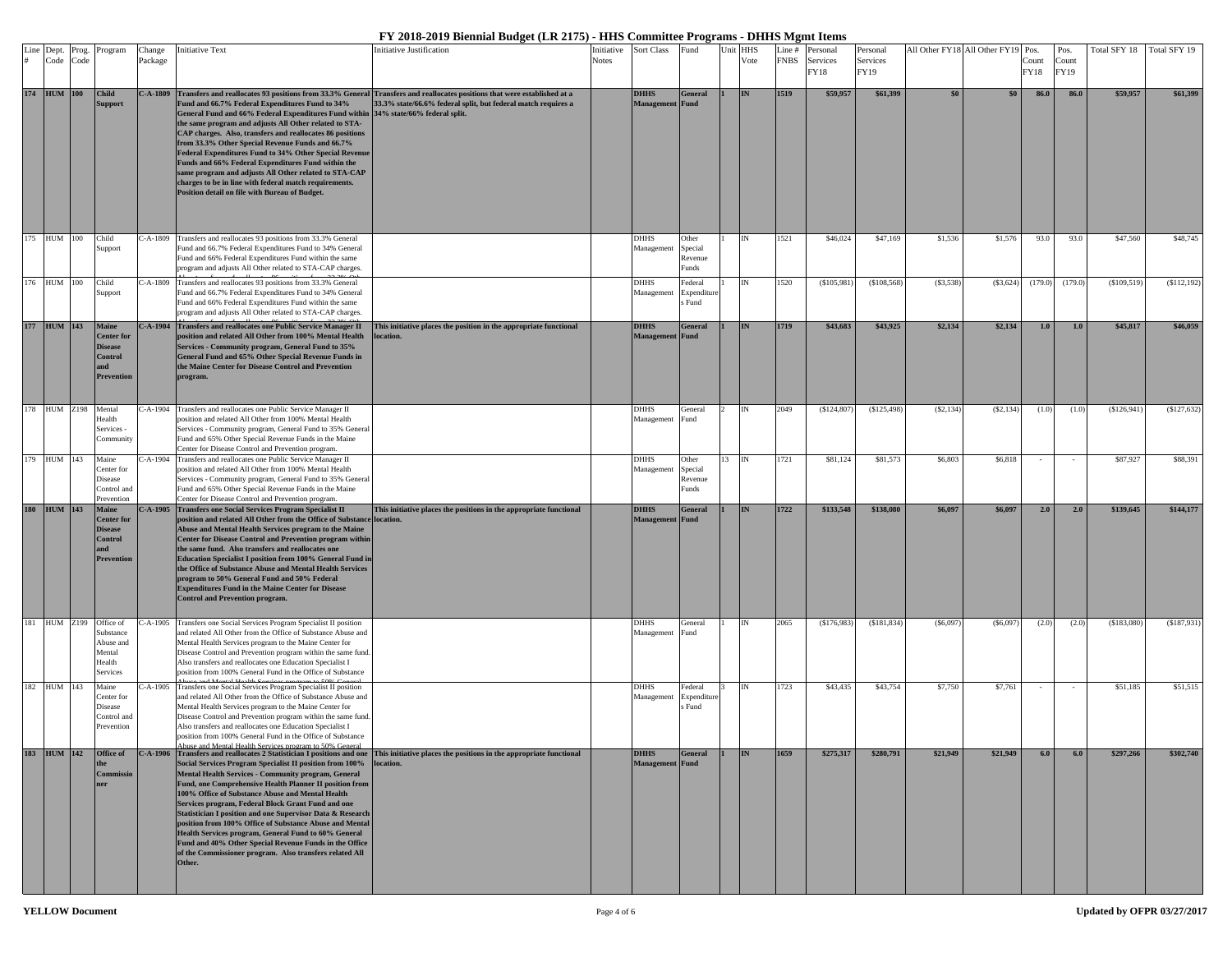|     | Dept.<br>Code       | Prog.<br>Code | Program                                                                             | Change<br>Package | nitiative Text                                                                                                                                                                                                                                                                                                                                                                                                                                                                                                                                                                                              | <b>Initiative Justification</b>                                                                                                                                                           | Initiative<br><b>Notes</b> | <b>Sort Class</b>                     | Fund                                 | Unit | <b>HHS</b><br>Vote | Line #<br><b>FNBS</b> | Personal<br>Services<br>FY18 | Personal<br>Services<br>FY19 |           | All Other FY18 All Other FY19 Pos. | Count<br>FY18 | Pos.<br>Count<br>FY19 | Total SFY 18 | Total SFY 19  |
|-----|---------------------|---------------|-------------------------------------------------------------------------------------|-------------------|-------------------------------------------------------------------------------------------------------------------------------------------------------------------------------------------------------------------------------------------------------------------------------------------------------------------------------------------------------------------------------------------------------------------------------------------------------------------------------------------------------------------------------------------------------------------------------------------------------------|-------------------------------------------------------------------------------------------------------------------------------------------------------------------------------------------|----------------------------|---------------------------------------|--------------------------------------|------|--------------------|-----------------------|------------------------------|------------------------------|-----------|------------------------------------|---------------|-----------------------|--------------|---------------|
|     | 174 HUM 100         |               | <b>Child</b><br>upport                                                              | $C-A-1809$        | Fund and 66.7% Federal Expenditures Fund to 34%<br>General Fund and 66% Federal Expenditures Fund within 34% state/66% federal split.<br>the same program and adjusts All Other related to STA-<br>CAP charges. Also, transfers and reallocates 86 positions<br>from 33.3% Other Special Revenue Funds and 66.7%<br>Federal Expenditures Fund to 34% Other Special Revenue<br>Funds and 66% Federal Expenditures Fund within the<br>same program and adjusts All Other related to STA-CAP<br>charges to be in line with federal match requirements.<br>Position detail on file with Bureau of Budget.       | Transfers and reallocates 93 positions from 33.3% General Transfers and reallocates positions that were established at a<br>33.3% state/66.6% federal split, but federal match requires a |                            | <b>DHHS</b><br>Management             | <b>General</b><br>Fund               |      | IN                 | 1519                  | \$59,957                     | \$61,399                     | \$0       | \$0\$                              | 86.0          | 86.0                  | \$59,957     | \$61,399      |
| 175 | <b>HUM</b>          | 100           | Child<br>upport                                                                     | C-A-1809          | Transfers and reallocates 93 positions from 33.3% General<br>Fund and 66.7% Federal Expenditures Fund to 34% General<br>Fund and 66% Federal Expenditures Fund within the same<br>program and adjusts All Other related to STA-CAP charges.                                                                                                                                                                                                                                                                                                                                                                 |                                                                                                                                                                                           |                            | DHHS<br>Management                    | Other<br>Special<br>Revenue<br>Funds |      |                    | 1521                  | \$46,024                     | \$47,169                     | \$1,536   | \$1,576                            | 93.0          | 93.0                  | \$47,560     | \$48,745      |
|     | 76 HUM 100          |               | Child<br>upport                                                                     | $C-A-1809$        | Transfers and reallocates 93 positions from 33.3% General<br>Fund and 66.7% Federal Expenditures Fund to 34% General<br>Fund and 66% Federal Expenditures Fund within the same<br>program and adjusts All Other related to STA-CAP charges.                                                                                                                                                                                                                                                                                                                                                                 |                                                                                                                                                                                           |                            | <b>DHHS</b><br>Management             | Federal<br>Expenditur<br>Fund        |      |                    | 1520                  | (\$105,981)                  | (\$108,568)                  | (S3, 538) | (\$3,624)                          | (179.0)       | (179.0)               | (\$109,519   | ( \$112,192)  |
|     | 177 HUM 143         |               | Maine<br><b>Center</b> for<br><b>Disease</b><br><b>Control</b><br>Prevention        |                   | C-A-1904 Transfers and reallocates one Public Service Manager II<br>position and related All Other from 100% Mental Health<br>Services - Community program, General Fund to 35%<br>General Fund and 65% Other Special Revenue Funds in<br>the Maine Center for Disease Control and Prevention<br>program.                                                                                                                                                                                                                                                                                                   | This initiative places the position in the appropriate functional<br>location.                                                                                                            |                            | <b>DHHS</b><br>Management             | <b>General</b><br>Fund               |      | IN                 | 1719                  | \$43,683                     | \$43,925                     | \$2,134   | \$2,134                            | 1.0           | 1.0                   | \$45,817     | \$46,059      |
|     | 178 HUM Z198 Mental |               | Health<br>Services -<br>Community                                                   |                   | C-A-1904 Transfers and reallocates one Public Service Manager II<br>position and related All Other from 100% Mental Health<br>Services - Community program, General Fund to 35% General<br>Fund and 65% Other Special Revenue Funds in the Maine<br>Center for Disease Control and Prevention program.                                                                                                                                                                                                                                                                                                      |                                                                                                                                                                                           |                            | DHHS<br>Management                    | General<br>Fund                      |      | IN                 | 2049                  | (\$124,807                   | (\$125,498                   | (S2, 134) | (S2, 134)                          | (1.0)         | (1.0)                 | (\$126,941)  | (\$127,632)   |
|     | 179 HUM 143         |               | Maine<br>Center for<br>Disease<br>Control and<br>Prevention                         | $-A-1904$         | Transfers and reallocates one Public Service Manager II<br>position and related All Other from 100% Mental Health<br>Services - Community program, General Fund to 35% General<br>Fund and 65% Other Special Revenue Funds in the Maine<br>Center for Disease Control and Prevention program                                                                                                                                                                                                                                                                                                                |                                                                                                                                                                                           |                            | DHHS<br>Management                    | Other<br>Special<br>≷evenue<br>Funds |      | <b>IN</b>          | 1721                  | \$81,124                     | \$81,573                     | \$6,803   | \$6,818                            |               |                       | \$87,927     | \$88,391      |
| 180 | <b>HUM</b> 143      |               | Maine<br><b>Center</b> for<br><b>Disease</b><br><b>Control</b><br><b>Prevention</b> |                   | C-A-1905 Transfers one Social Services Program Specialist II<br>position and related All Other from the Office of Substance location.<br>Abuse and Mental Health Services program to the Maine<br>Center for Disease Control and Prevention program within<br>the same fund. Also transfers and reallocates one<br>Education Specialist I position from 100% General Fund in<br>the Office of Substance Abuse and Mental Health Services<br>program to 50% General Fund and 50% Federal<br><b>Expenditures Fund in the Maine Center for Disease</b><br><b>Control and Prevention program.</b>               | This initiative places the positions in the appropriate functional                                                                                                                        |                            | <b>DHHS</b><br>Management             | General<br>Fund                      |      |                    | 1722                  | \$133,548                    | \$138,080                    | \$6,097   | \$6,097                            | 2.0           | 2.0                   | \$139,645    | \$144,177     |
|     | <b>HUM Z199</b>     |               | Office of<br>Substance<br>Abuse and<br>Mental<br>Health<br>Services                 | $-A-1905$         | Transfers one Social Services Program Specialist II position<br>and related All Other from the Office of Substance Abuse and<br>Mental Health Services program to the Maine Center for<br>Disease Control and Prevention program within the same fund.<br>Also transfers and reallocates one Education Specialist I<br>position from 100% General Fund in the Office of Substance                                                                                                                                                                                                                           |                                                                                                                                                                                           |                            | DHHS<br>Management                    | General<br>Fund                      |      |                    | 2065                  | (\$176,983                   | (S181, 834)                  | (S6,097)  | (S6,097)                           | (2.0)         | (2.0)                 | (\$183,080)  | ( \$187, 931) |
|     | 182 HUM 143         |               | Maine<br>Center for<br>Disease<br>Control and<br>Prevention                         |                   | '-A-1905 Transfers one Social Services Program Specialist II position<br>and related All Other from the Office of Substance Abuse and<br>Mental Health Services program to the Maine Center for<br>Disease Control and Prevention program within the same fund.<br>Also transfers and reallocates one Education Specialist I<br>position from 100% General Fund in the Office of Substance<br>Abuse and Mental Health Services program to 50% General                                                                                                                                                       |                                                                                                                                                                                           |                            | DHHS<br>Management                    | Federal<br>Expenditure<br>s Fund     |      | IN                 | 1723                  | \$43,435                     | \$43,754                     | \$7,750   | \$7,761                            |               |                       | \$51,185     | \$51,515      |
|     | 183 HUM 142         |               | Office of<br>Commissi<br>ner                                                        |                   | Social Services Program Specialist II position from 100%<br><b>Mental Health Services - Community program, General</b><br>Fund, one Comprehensive Health Planner II position from<br>100% Office of Substance Abuse and Mental Health<br>Services program, Federal Block Grant Fund and one<br>Statistician I position and one Supervisor Data & Research<br>position from 100% Office of Substance Abuse and Mental<br>Health Services program, General Fund to 60% General<br>Fund and 40% Other Special Revenue Funds in the Office<br>of the Commissioner program. Also transfers related All<br>Other. | C-A-1906 Transfers and reallocates 2 Statistician I positions and one This initiative places the positions in the appropriate functional<br>location.                                     |                            | <b>DHHS</b><br><b>Management</b> Fund | General                              |      | <b>TN</b>          | 1659                  | \$275,317                    | \$280,791                    | \$21,949  | \$21,949                           | 6.0           | 6.0                   | \$297,266    | \$302,740     |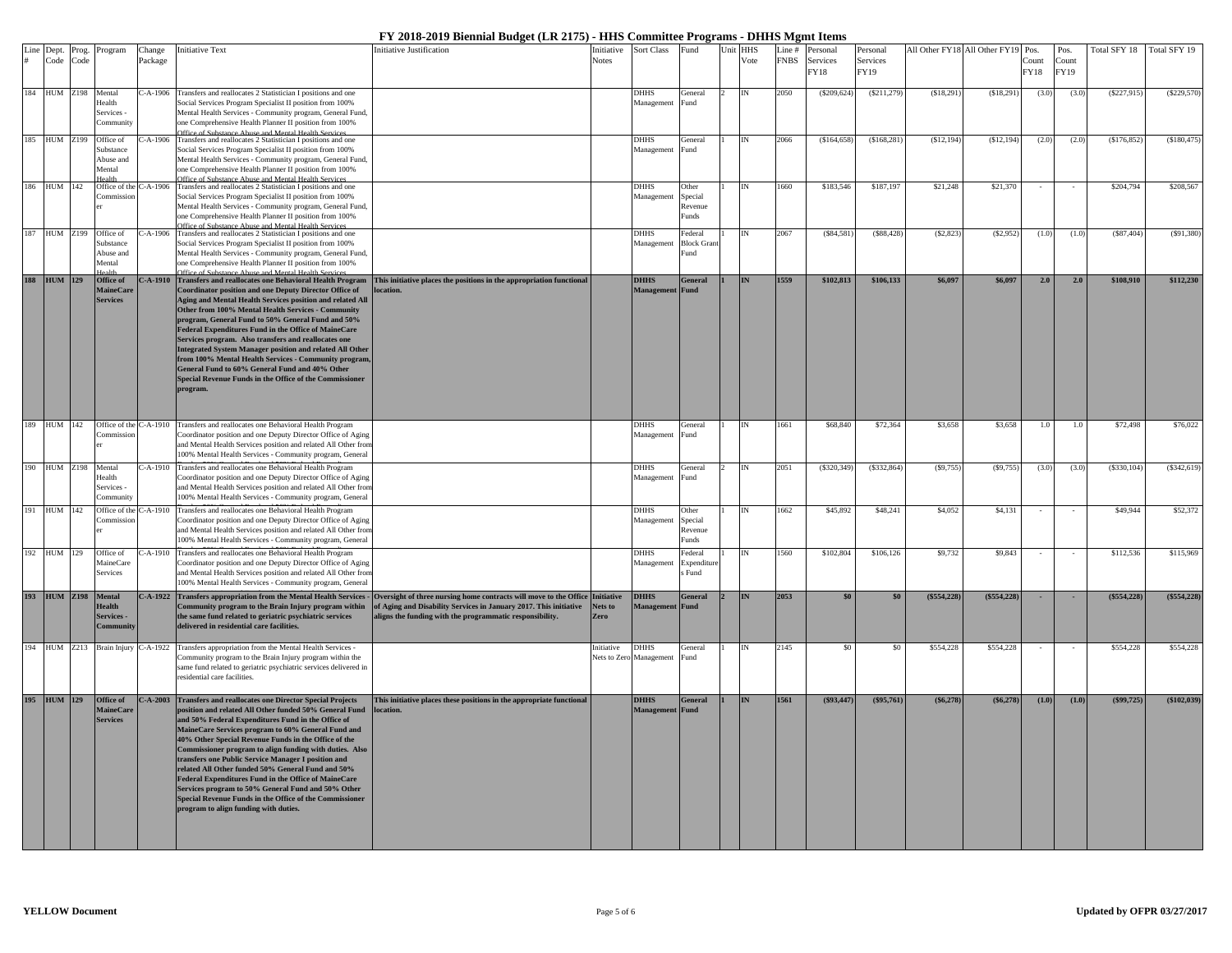|     | Line Dept.          | Prog. | Program                             | Change     | <b>Initiative Text</b>                                                                                                                         | nitiative Justification                                                                                                                                                                                     | Initiative   | Sort Class                | Fund                   | Unit HHS  | Line #      | Personal     | Personal    |             | All Other FY18 All Other FY19 Pos. |       | Pos.        | Total SFY 18 Total SFY 19 |               |
|-----|---------------------|-------|-------------------------------------|------------|------------------------------------------------------------------------------------------------------------------------------------------------|-------------------------------------------------------------------------------------------------------------------------------------------------------------------------------------------------------------|--------------|---------------------------|------------------------|-----------|-------------|--------------|-------------|-------------|------------------------------------|-------|-------------|---------------------------|---------------|
| #   | Code                | Code  |                                     | Package    |                                                                                                                                                |                                                                                                                                                                                                             | <b>Notes</b> |                           |                        | Vote      | <b>FNBS</b> | Services     | Services    |             |                                    | Count | Count       |                           |               |
|     |                     |       |                                     |            |                                                                                                                                                |                                                                                                                                                                                                             |              |                           |                        |           |             | FY18         | FY19        |             |                                    | FY18  | <b>FY19</b> |                           |               |
|     |                     |       |                                     |            |                                                                                                                                                |                                                                                                                                                                                                             |              |                           |                        |           |             |              |             |             |                                    |       |             |                           |               |
|     | 184 HUM Z198        |       | Mental<br>Health                    | C-A-1906   | Transfers and reallocates 2 Statistician I positions and one<br>Social Services Program Specialist II position from 100%                       |                                                                                                                                                                                                             |              | <b>DHHS</b><br>Management | General<br>Fund        | IN        | 2050        | (S209.624)   | (\$211,279  | (S18, 291)  | (\$18,291)                         | (3.0) | (3.0)       | (\$227,915)               | (\$229,570)   |
|     |                     |       | Services -                          |            | Mental Health Services - Community program, General Fund,                                                                                      |                                                                                                                                                                                                             |              |                           |                        |           |             |              |             |             |                                    |       |             |                           |               |
|     |                     |       | Communit                            |            | one Comprehensive Health Planner II position from 100%                                                                                         |                                                                                                                                                                                                             |              |                           |                        |           |             |              |             |             |                                    |       |             |                           |               |
| 185 | HUM Z199            |       | Office of                           | $C-A-1906$ | Office of Substance Abuse and Mental Health Services<br>Transfers and reallocates 2 Statistician I positions and one                           |                                                                                                                                                                                                             |              | <b>DHHS</b>               | General                |           | 2066        | (S164.658)   | (\$168, 281 | (S12, 194)  | ( \$12,194)                        | (2.0) | (2.0)       | (\$176,852)               | (\$180,475)   |
|     |                     |       | Substance                           |            | Social Services Program Specialist II position from 100%                                                                                       |                                                                                                                                                                                                             |              | Management                | Fund                   |           |             |              |             |             |                                    |       |             |                           |               |
|     |                     |       | Abuse and                           |            | Mental Health Services - Community program, General Fund,                                                                                      |                                                                                                                                                                                                             |              |                           |                        |           |             |              |             |             |                                    |       |             |                           |               |
|     |                     |       | Mental<br>Joalth                    |            | one Comprehensive Health Planner II position from 100%                                                                                         |                                                                                                                                                                                                             |              |                           |                        |           |             |              |             |             |                                    |       |             |                           |               |
| 186 | HUM 142             |       | Office of the C-A-1906              |            | Office of Substance Abuse and Mental Health Servi<br>Transfers and reallocates 2 Statistician I positions and one                              |                                                                                                                                                                                                             |              | <b>DHHS</b>               | Other                  |           | 660         | \$183,546    | \$187,197   | \$21,248    | \$21,370                           |       |             | \$204,794                 | \$208,567     |
|     |                     |       | Commissio                           |            | Social Services Program Specialist II position from 100%                                                                                       |                                                                                                                                                                                                             |              | Management                | Special                |           |             |              |             |             |                                    |       |             |                           |               |
|     |                     |       |                                     |            | Mental Health Services - Community program, General Fund,                                                                                      |                                                                                                                                                                                                             |              |                           | Revenue                |           |             |              |             |             |                                    |       |             |                           |               |
|     |                     |       |                                     |            | one Comprehensive Health Planner II position from 100%<br>ffice of Substance Abuse and Mental Health Service                                   |                                                                                                                                                                                                             |              |                           | Funds                  |           |             |              |             |             |                                    |       |             |                           |               |
|     |                     |       | 187 HUM Z199 Office of              | $C-A-1906$ | Transfers and reallocates 2 Statistician I positions and one                                                                                   |                                                                                                                                                                                                             |              | <b>DHHS</b>               | Federal                |           | 2067        | (\$84,581)   | (S88, 428)  | (S2, 823)   | (S2,952)                           | (1.0) | (1.0)       | (S87, 404)                | (S91, 380)    |
|     |                     |       | Substance                           |            | Social Services Program Specialist II position from 100%                                                                                       |                                                                                                                                                                                                             |              | Management                | <b>Block Gran</b>      |           |             |              |             |             |                                    |       |             |                           |               |
|     |                     |       | Abuse and<br>Mental                 |            | Mental Health Services - Community program, General Fund,<br>one Comprehensive Health Planner II position from 100%                            |                                                                                                                                                                                                             |              |                           | hnd                    |           |             |              |             |             |                                    |       |             |                           |               |
|     |                     |       |                                     |            | Office of Substance Abuse and Mental Health Services<br>C-A-1910 Transfers and reallocates one Behavioral Health Program                       |                                                                                                                                                                                                             |              |                           |                        |           |             |              |             |             |                                    |       |             |                           |               |
|     | 188 HUM 129         |       | Office of                           |            |                                                                                                                                                | This initiative places the positions in the appropriation functional                                                                                                                                        |              | <b>DHHS</b>               | <b>General</b>         | <b>IN</b> | 1559        | \$102,813    | \$106,133   | \$6,097     | \$6,097                            | 2.0   | 2.0         | \$108,910                 | \$112,230     |
|     |                     |       | <b>MaineCare</b><br><b>Services</b> |            | Coordinator position and one Deputy Director Office of<br>Aging and Mental Health Services position and related All                            | cation.                                                                                                                                                                                                     |              | Management Fund           |                        |           |             |              |             |             |                                    |       |             |                           |               |
|     |                     |       |                                     |            | Other from 100% Mental Health Services - Community                                                                                             |                                                                                                                                                                                                             |              |                           |                        |           |             |              |             |             |                                    |       |             |                           |               |
|     |                     |       |                                     |            | program, General Fund to 50% General Fund and 50%                                                                                              |                                                                                                                                                                                                             |              |                           |                        |           |             |              |             |             |                                    |       |             |                           |               |
|     |                     |       |                                     |            | Federal Expenditures Fund in the Office of MaineCare                                                                                           |                                                                                                                                                                                                             |              |                           |                        |           |             |              |             |             |                                    |       |             |                           |               |
|     |                     |       |                                     |            | Services program. Also transfers and reallocates one                                                                                           |                                                                                                                                                                                                             |              |                           |                        |           |             |              |             |             |                                    |       |             |                           |               |
|     |                     |       |                                     |            | <b>Integrated System Manager position and related All Other</b><br>from 100% Mental Health Services - Community program                        |                                                                                                                                                                                                             |              |                           |                        |           |             |              |             |             |                                    |       |             |                           |               |
|     |                     |       |                                     |            | General Fund to 60% General Fund and 40% Other                                                                                                 |                                                                                                                                                                                                             |              |                           |                        |           |             |              |             |             |                                    |       |             |                           |               |
|     |                     |       |                                     |            | Special Revenue Funds in the Office of the Commissioner                                                                                        |                                                                                                                                                                                                             |              |                           |                        |           |             |              |             |             |                                    |       |             |                           |               |
|     |                     |       |                                     |            | program.                                                                                                                                       |                                                                                                                                                                                                             |              |                           |                        |           |             |              |             |             |                                    |       |             |                           |               |
|     |                     |       |                                     |            |                                                                                                                                                |                                                                                                                                                                                                             |              |                           |                        |           |             |              |             |             |                                    |       |             |                           |               |
|     |                     |       |                                     |            |                                                                                                                                                |                                                                                                                                                                                                             |              |                           |                        |           |             |              |             |             |                                    |       |             |                           |               |
|     | 189 HUM 142         |       | Commission                          |            | Office of the C-A-1910 Transfers and reallocates one Behavioral Health Program<br>Coordinator position and one Deputy Director Office of Aging |                                                                                                                                                                                                             |              | <b>DHHS</b><br>Management | General<br>Fund        | IN        | 1661        | \$68,840     | \$72,364    | \$3,658     | \$3,658                            | 1.0   | 1.0         | \$72,498                  | \$76,022      |
|     |                     |       |                                     |            | and Mental Health Services position and related All Other from                                                                                 |                                                                                                                                                                                                             |              |                           |                        |           |             |              |             |             |                                    |       |             |                           |               |
|     |                     |       |                                     |            | 100% Mental Health Services - Community program, General                                                                                       |                                                                                                                                                                                                             |              |                           |                        |           |             |              |             |             |                                    |       |             |                           |               |
|     | 190 HUM Z198 Mental |       |                                     | $C-A-1910$ | Transfers and reallocates one Behavioral Health Program                                                                                        |                                                                                                                                                                                                             |              | <b>DHHS</b>               | General                | IN        | 2051        | (\$320,349)  | (\$332,864  | (S9,755)    | (S9, 755)                          | (3.0) | (3.0)       | (\$330,104)               | (S342, 619)   |
|     |                     |       | Health                              |            | Coordinator position and one Deputy Director Office of Aging                                                                                   |                                                                                                                                                                                                             |              | Management                | Fund                   |           |             |              |             |             |                                    |       |             |                           |               |
|     |                     |       | Services -<br><b>Community</b>      |            | and Mental Health Services position and related All Other fron                                                                                 |                                                                                                                                                                                                             |              |                           |                        |           |             |              |             |             |                                    |       |             |                           |               |
|     |                     |       |                                     |            | 100% Mental Health Services - Community program, General                                                                                       |                                                                                                                                                                                                             |              |                           |                        |           |             |              |             |             |                                    |       |             |                           |               |
|     | 191 HUM 142         |       | Office of the C-A-1910<br>Commissio |            | Transfers and reallocates one Behavioral Health Program<br>Coordinator position and one Deputy Director Office of Aging                        |                                                                                                                                                                                                             |              | <b>DHHS</b><br>Management | Other<br>Special       | <b>IN</b> | 1662        | \$45,892     | \$48,241    | \$4,052     | \$4,131                            |       |             | \$49,944                  | \$52,372      |
|     |                     |       |                                     |            | and Mental Health Services position and related All Other fron                                                                                 |                                                                                                                                                                                                             |              |                           | Revenue                |           |             |              |             |             |                                    |       |             |                           |               |
|     |                     |       |                                     |            | 100% Mental Health Services - Community program, General                                                                                       |                                                                                                                                                                                                             |              |                           | Funds                  |           |             |              |             |             |                                    |       |             |                           |               |
|     | 192 HUM 129         |       | Office of                           | $C-A-1910$ | Transfers and reallocates one Behavioral Health Program                                                                                        |                                                                                                                                                                                                             |              | <b>DHHS</b>               | Federal                | <b>IN</b> | 1560        | \$102,804    | \$106,126   | \$9,732     | \$9,843                            |       |             | \$112,536                 | \$115,969     |
|     |                     |       | MaineCare                           |            | Coordinator position and one Deputy Director Office of Aging                                                                                   |                                                                                                                                                                                                             |              | Management                | Expenditur             |           |             |              |             |             |                                    |       |             |                           |               |
|     |                     |       | <b>Services</b>                     |            | and Mental Health Services position and related All Other from                                                                                 |                                                                                                                                                                                                             |              |                           | Fund                   |           |             |              |             |             |                                    |       |             |                           |               |
|     |                     |       |                                     |            | 100% Mental Health Services - Community program, General                                                                                       |                                                                                                                                                                                                             |              |                           |                        |           |             |              |             |             |                                    |       |             |                           |               |
|     | 193 HUM Z198        |       | Mental<br><b>Health</b>             | $C-A-1922$ | Community program to the Brain Injury program within                                                                                           | Transfers appropriation from the Mental Health Services - Oversight of three nursing home contracts will move to the Office Initiative<br>of Aging and Disability Services in January 2017. This initiative | Nets to      | <b>DHHS</b><br>Management | <b>General</b><br>Fund | <b>IN</b> | 2053        | \$0          | \$0         | (\$554,228) | $(\$554,228)$                      |       | <b>.</b>    | $(\$554,228)$             | $(\$554,228)$ |
|     |                     |       | Services -                          |            | the same fund related to geriatric psychiatric services                                                                                        | aligns the funding with the programmatic responsibility.                                                                                                                                                    | Zero         |                           |                        |           |             |              |             |             |                                    |       |             |                           |               |
|     |                     |       | Communit                            |            | delivered in residential care facilities.                                                                                                      |                                                                                                                                                                                                             |              |                           |                        |           |             |              |             |             |                                    |       |             |                           |               |
|     |                     |       |                                     |            |                                                                                                                                                |                                                                                                                                                                                                             |              |                           |                        |           |             |              |             |             |                                    |       |             |                           |               |
| 194 |                     |       |                                     |            | HUM Z213 Brain Injury C-A-1922 Transfers appropriation from the Mental Health Services -                                                       |                                                                                                                                                                                                             | nitiative    | <b>DHHS</b>               | <b>General</b>         |           | 2145        | \$0          | \$0         | \$554,228   | \$554,228                          |       |             | \$554,228                 | \$554,228     |
|     |                     |       |                                     |            | Community program to the Brain Injury program within the                                                                                       |                                                                                                                                                                                                             |              | Nets to Zero Management   | Fund                   |           |             |              |             |             |                                    |       |             |                           |               |
|     |                     |       |                                     |            | ame fund related to geriatric psychiatric services delivered in<br>esidential care facilities.                                                 |                                                                                                                                                                                                             |              |                           |                        |           |             |              |             |             |                                    |       |             |                           |               |
|     |                     |       |                                     |            |                                                                                                                                                |                                                                                                                                                                                                             |              |                           |                        |           |             |              |             |             |                                    |       |             |                           |               |
|     | 195 HUM 129         |       | Office of                           |            | C-A-2003 Transfers and reallocates one Director Special Projects                                                                               | This initiative places these positions in the appropriate functional                                                                                                                                        |              | <b>DHHS</b>               | <b>General</b>         |           | 1561        | $(\$93,447)$ | (\$95,761)  | (\$6,278)   | $(\$6,278)$                        | (1.0) | (1.0)       | $(\$99,725)$              | (\$102,039)   |
|     |                     |       | MaineCar                            |            | position and related All Other funded 50% General Fund                                                                                         | ocation.                                                                                                                                                                                                    |              | Management                | Fund                   |           |             |              |             |             |                                    |       |             |                           |               |
|     |                     |       | <b>Services</b>                     |            | and 50% Federal Expenditures Fund in the Office of                                                                                             |                                                                                                                                                                                                             |              |                           |                        |           |             |              |             |             |                                    |       |             |                           |               |
|     |                     |       |                                     |            | MaineCare Services program to 60% General Fund and<br>40% Other Special Revenue Funds in the Office of the                                     |                                                                                                                                                                                                             |              |                           |                        |           |             |              |             |             |                                    |       |             |                           |               |
|     |                     |       |                                     |            | Commissioner program to align funding with duties. Also                                                                                        |                                                                                                                                                                                                             |              |                           |                        |           |             |              |             |             |                                    |       |             |                           |               |
|     |                     |       |                                     |            | transfers one Public Service Manager I position and                                                                                            |                                                                                                                                                                                                             |              |                           |                        |           |             |              |             |             |                                    |       |             |                           |               |
|     |                     |       |                                     |            | elated All Other funded 50% General Fund and 50%                                                                                               |                                                                                                                                                                                                             |              |                           |                        |           |             |              |             |             |                                    |       |             |                           |               |
|     |                     |       |                                     |            | Federal Expenditures Fund in the Office of MaineCare<br>Services program to 50% General Fund and 50% Other                                     |                                                                                                                                                                                                             |              |                           |                        |           |             |              |             |             |                                    |       |             |                           |               |
|     |                     |       |                                     |            | Special Revenue Funds in the Office of the Commissioner                                                                                        |                                                                                                                                                                                                             |              |                           |                        |           |             |              |             |             |                                    |       |             |                           |               |
|     |                     |       |                                     |            | program to align funding with duties.                                                                                                          |                                                                                                                                                                                                             |              |                           |                        |           |             |              |             |             |                                    |       |             |                           |               |
|     |                     |       |                                     |            |                                                                                                                                                |                                                                                                                                                                                                             |              |                           |                        |           |             |              |             |             |                                    |       |             |                           |               |
|     |                     |       |                                     |            |                                                                                                                                                |                                                                                                                                                                                                             |              |                           |                        |           |             |              |             |             |                                    |       |             |                           |               |
|     |                     |       |                                     |            |                                                                                                                                                |                                                                                                                                                                                                             |              |                           |                        |           |             |              |             |             |                                    |       |             |                           |               |